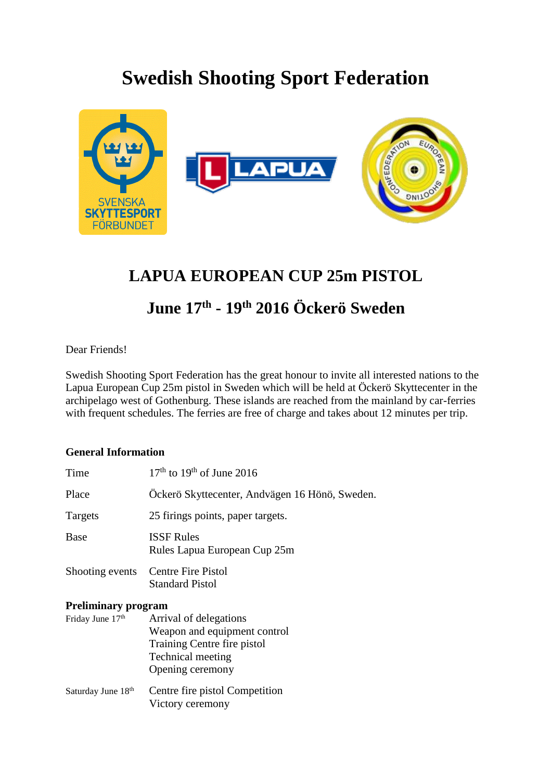## **Swedish Shooting Sport Federation**



## **LAPUA EUROPEAN CUP 25m PISTOL**

## **June 17th - 19th 2016 Öckerö Sweden**

Dear Friends!

Swedish Shooting Sport Federation has the great honour to invite all interested nations to the Lapua European Cup 25m pistol in Sweden which will be held at Öckerö Skyttecenter in the archipelago west of Gothenburg. These islands are reached from the mainland by car-ferries with frequent schedules. The ferries are free of charge and takes about 12 minutes per trip.

## **General Information**

| Time                       | $17th$ to $19th$ of June 2016                                                                                                         |  |
|----------------------------|---------------------------------------------------------------------------------------------------------------------------------------|--|
| Place                      | Öckerö Skyttecenter, Andvägen 16 Hönö, Sweden.                                                                                        |  |
| Targets                    | 25 firings points, paper targets.                                                                                                     |  |
| <b>Base</b>                | <b>ISSF Rules</b><br>Rules Lapua European Cup 25m                                                                                     |  |
| Shooting events            | <b>Centre Fire Pistol</b><br><b>Standard Pistol</b>                                                                                   |  |
| <b>Preliminary program</b> |                                                                                                                                       |  |
| Friday June 17th           | Arrival of delegations<br>Weapon and equipment control<br>Training Centre fire pistol<br><b>Technical meeting</b><br>Opening ceremony |  |
| Saturday June 18th         | Centre fire pistol Competition<br>Victory ceremony                                                                                    |  |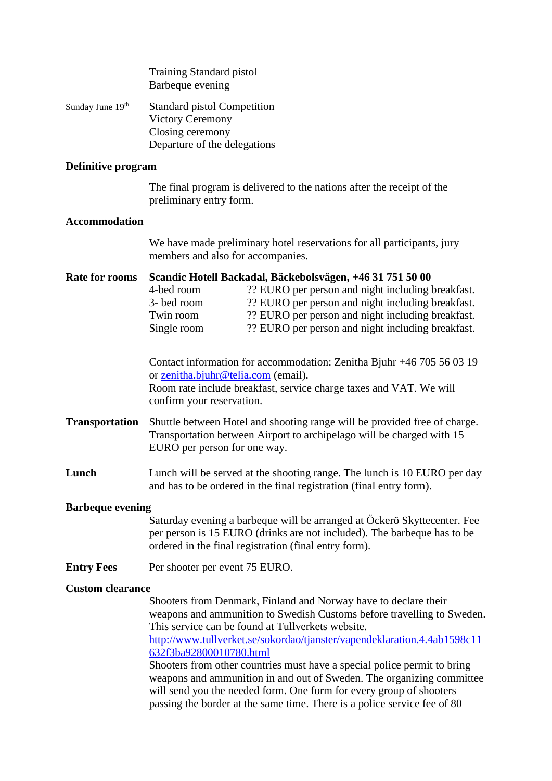|                         | <b>Training Standard pistol</b><br>Barbeque evening                                                                                                                                                                                                                                                                                    |  |  |  |
|-------------------------|----------------------------------------------------------------------------------------------------------------------------------------------------------------------------------------------------------------------------------------------------------------------------------------------------------------------------------------|--|--|--|
| Sunday June 19th        | <b>Standard pistol Competition</b><br><b>Victory Ceremony</b><br>Closing ceremony<br>Departure of the delegations                                                                                                                                                                                                                      |  |  |  |
| Definitive program      |                                                                                                                                                                                                                                                                                                                                        |  |  |  |
|                         | The final program is delivered to the nations after the receipt of the<br>preliminary entry form.                                                                                                                                                                                                                                      |  |  |  |
| <b>Accommodation</b>    |                                                                                                                                                                                                                                                                                                                                        |  |  |  |
|                         | We have made preliminary hotel reservations for all participants, jury<br>members and also for accompanies.                                                                                                                                                                                                                            |  |  |  |
| <b>Rate for rooms</b>   | Scandic Hotell Backadal, Bäckebolsvägen, +46 31 751 50 00<br>?? EURO per person and night including breakfast.<br>4-bed room<br>?? EURO per person and night including breakfast.<br>3- bed room<br>?? EURO per person and night including breakfast.<br>Twin room<br>?? EURO per person and night including breakfast.<br>Single room |  |  |  |
|                         | Contact information for accommodation: Zenitha Bjuhr +46 705 56 03 19<br>or <u>zenitha.bjuhr@telia.com</u> (email).<br>Room rate include breakfast, service charge taxes and VAT. We will<br>confirm your reservation.                                                                                                                 |  |  |  |
| <b>Transportation</b>   | Shuttle between Hotel and shooting range will be provided free of charge.<br>Transportation between Airport to archipelago will be charged with 15<br>EURO per person for one way.                                                                                                                                                     |  |  |  |
| Lunch                   | Lunch will be served at the shooting range. The lunch is 10 EURO per day<br>and has to be ordered in the final registration (final entry form).                                                                                                                                                                                        |  |  |  |
| <b>Barbeque evening</b> |                                                                                                                                                                                                                                                                                                                                        |  |  |  |
|                         | Saturday evening a barbeque will be arranged at Öckerö Skyttecenter. Fee<br>per person is 15 EURO (drinks are not included). The barbeque has to be<br>ordered in the final registration (final entry form).                                                                                                                           |  |  |  |
| <b>Entry Fees</b>       | Per shooter per event 75 EURO.                                                                                                                                                                                                                                                                                                         |  |  |  |
| <b>Custom clearance</b> |                                                                                                                                                                                                                                                                                                                                        |  |  |  |
|                         | Shooters from Denmark, Finland and Norway have to declare their<br>weapons and ammunition to Swedish Customs before travelling to Sweden.<br>This service can be found at Tullverkets website.                                                                                                                                         |  |  |  |
|                         | http://www.tullverket.se/sokordao/tjanster/vapendeklaration.4.4ab1598c11<br>632f3ba92800010780.html                                                                                                                                                                                                                                    |  |  |  |
|                         | Shooters from other countries must have a special police permit to bring<br>weapons and ammunition in and out of Sweden. The organizing committee<br>will send you the needed form. One form for every group of shooters<br>passing the border at the same time. There is a police service fee of 80                                   |  |  |  |